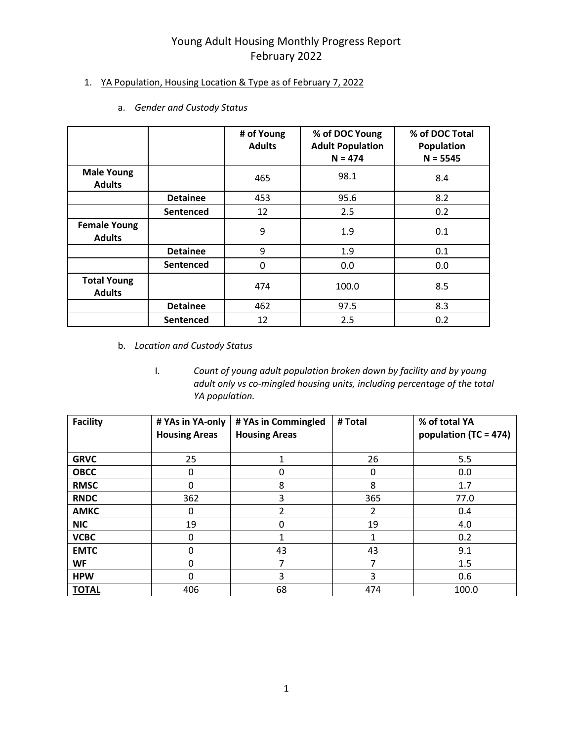### 1. YA Population, Housing Location & Type as of February 7, 2022

|                                      |                  | # of Young<br><b>Adults</b> | % of DOC Total<br>% of DOC Young<br><b>Adult Population</b><br>Population<br>$N = 5545$<br>$N = 474$ |     |
|--------------------------------------|------------------|-----------------------------|------------------------------------------------------------------------------------------------------|-----|
| <b>Male Young</b><br><b>Adults</b>   |                  | 465                         | 98.1<br>8.4                                                                                          |     |
|                                      | <b>Detainee</b>  | 453                         | 8.2<br>95.6                                                                                          |     |
|                                      | Sentenced        | 12                          | 2.5                                                                                                  | 0.2 |
| <b>Female Young</b><br><b>Adults</b> |                  | 9                           | 1.9                                                                                                  | 0.1 |
|                                      | <b>Detainee</b>  | 9                           | 1.9                                                                                                  | 0.1 |
|                                      | <b>Sentenced</b> | $\mathbf 0$                 | 0.0                                                                                                  | 0.0 |
| <b>Total Young</b><br><b>Adults</b>  |                  | 474                         | 100.0                                                                                                | 8.5 |
|                                      | <b>Detainee</b>  | 462                         | 8.3<br>97.5                                                                                          |     |
|                                      | Sentenced        | 12                          | 2.5                                                                                                  | 0.2 |

a. *Gender and Custody Status* 

- b. *Location and Custody Status*
	- I. *Count of young adult population broken down by facility and by young adult only vs co-mingled housing units, including percentage of the total YA population.*

| <b>Facility</b> | # YAs in YA-only<br><b>Housing Areas</b> | # YAs in Commingled<br><b>Housing Areas</b> | # Total | % of total YA<br>population (TC = 474) |
|-----------------|------------------------------------------|---------------------------------------------|---------|----------------------------------------|
| <b>GRVC</b>     | 25                                       | 1                                           | 26      | 5.5                                    |
| <b>OBCC</b>     | 0                                        | 0                                           | 0       | 0.0                                    |
| <b>RMSC</b>     | $\mathbf{0}$                             | 8                                           | 8       | 1.7                                    |
| <b>RNDC</b>     | 362                                      | 3                                           | 365     | 77.0                                   |
| <b>AMKC</b>     | 0                                        | 2                                           | 2       | 0.4                                    |
| <b>NIC</b>      | 19                                       | 0                                           | 19      | 4.0                                    |
| <b>VCBC</b>     | 0                                        | 1                                           | 1       | 0.2                                    |
| <b>EMTC</b>     | 0                                        | 43                                          | 43      | 9.1                                    |
| WF              | $\mathbf{0}$                             |                                             |         | 1.5                                    |
| <b>HPW</b>      | 0                                        | 3                                           | 3       | 0.6                                    |
| <b>TOTAL</b>    | 406                                      | 68                                          | 474     | 100.0                                  |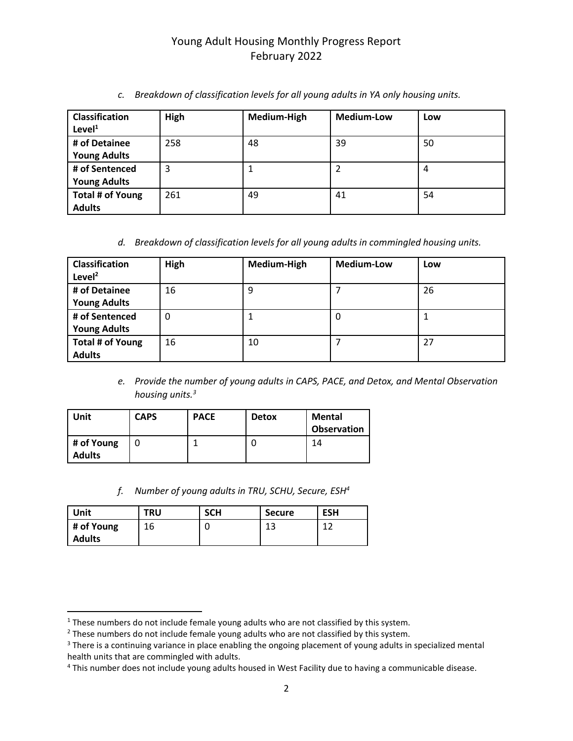| <b>Classification</b><br>Level <sup>1</sup> | High | Medium-High | <b>Medium-Low</b> | Low |
|---------------------------------------------|------|-------------|-------------------|-----|
| # of Detainee                               | 258  | 48          | 39                | 50  |
| <b>Young Adults</b>                         |      |             |                   |     |
| # of Sentenced                              | 3    |             | 2                 | 4   |
| <b>Young Adults</b>                         |      |             |                   |     |
| Total # of Young                            | 261  | 49          | 41                | 54  |
| <b>Adults</b>                               |      |             |                   |     |

*c. Breakdown of classification levels for all young adults in YA only housing units.*

*d. Breakdown of classification levels for all young adults in commingled housing units.*

| <b>Classification</b><br>Level $^2$ | High | Medium-High | <b>Medium-Low</b> | Low |
|-------------------------------------|------|-------------|-------------------|-----|
| # of Detainee                       | 16   | 9           |                   | 26  |
| <b>Young Adults</b>                 |      |             |                   |     |
| # of Sentenced                      | 0    |             | 0                 |     |
| <b>Young Adults</b>                 |      |             |                   |     |
| Total # of Young                    | 16   | 10          |                   | 27  |
| <b>Adults</b>                       |      |             |                   |     |

*e. Provide the number of young adults in CAPS, PACE, and Detox, and Mental Observation housing units.<sup>3</sup>*

| Unit                        | <b>CAPS</b> | <b>PACE</b> | <b>Detox</b> | Mental<br><b>Observation</b> |
|-----------------------------|-------------|-------------|--------------|------------------------------|
| # of Young<br><b>Adults</b> |             |             | U            | 14                           |

*f. Number of young adults in TRU, SCHU, Secure, ESH<sup>4</sup>*

| Unit          | <b>TRU</b> | <b>SCH</b> | <b>Secure</b> | <b>ESH</b> |
|---------------|------------|------------|---------------|------------|
| # of Young    | 16         |            | ∸             | 1.         |
| <b>Adults</b> |            |            |               |            |

<sup>&</sup>lt;sup>1</sup> These numbers do not include female young adults who are not classified by this system.

 $2$  These numbers do not include female young adults who are not classified by this system.

<sup>&</sup>lt;sup>3</sup> There is a continuing variance in place enabling the ongoing placement of young adults in specialized mental health units that are commingled with adults.

<sup>&</sup>lt;sup>4</sup> This number does not include young adults housed in West Facility due to having a communicable disease.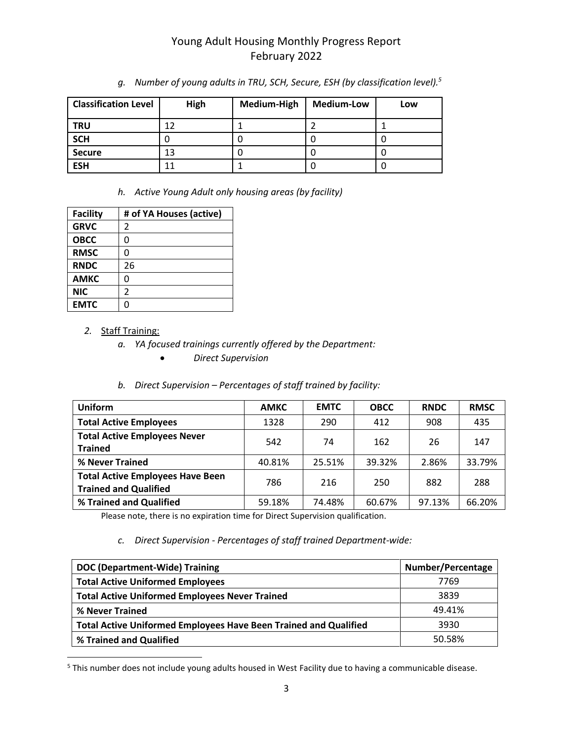| <b>Classification Level</b> | High | Medium-High | <b>Medium-Low</b> | Low |
|-----------------------------|------|-------------|-------------------|-----|
| <b>TRU</b>                  | 12   |             |                   |     |
| <b>SCH</b>                  |      | U           |                   |     |
| <b>Secure</b>               | 13   |             |                   |     |
| <b>ESH</b>                  | 11   |             |                   |     |

*g. Number of young adults in TRU, SCH, Secure, ESH (by classification level).<sup>5</sup>*

*h. Active Young Adult only housing areas (by facility)*

| <b>Facility</b> | # of YA Houses (active) |
|-----------------|-------------------------|
| <b>GRVC</b>     | 2                       |
| <b>OBCC</b>     | 0                       |
| <b>RMSC</b>     | 0                       |
| <b>RNDC</b>     | 26                      |
| <b>AMKC</b>     | ი                       |
| <b>NIC</b>      | 2                       |
| <b>EMTC</b>     | በ                       |

### *2.* Staff Training:

- *a. YA focused trainings currently offered by the Department:*
	- *Direct Supervision*

### *b. Direct Supervision – Percentages of staff trained by facility:*

| <b>Uniform</b>                                                          | <b>AMKC</b> | <b>EMTC</b> | <b>OBCC</b> | <b>RNDC</b> | <b>RMSC</b> |
|-------------------------------------------------------------------------|-------------|-------------|-------------|-------------|-------------|
| <b>Total Active Employees</b>                                           | 1328        | 290         | 412         | 908         | 435         |
| <b>Total Active Employees Never</b><br><b>Trained</b>                   | 542         | 74          | 162         | 26          | 147         |
| % Never Trained                                                         | 40.81%      | 25.51%      | 39.32%      | 2.86%       | 33.79%      |
| <b>Total Active Employees Have Been</b><br><b>Trained and Qualified</b> | 786         | 216         | 250         | 882         | 288         |
| % Trained and Qualified                                                 | 59.18%      | 74.48%      | 60.67%      | 97.13%      | 66.20%      |

Please note, there is no expiration time for Direct Supervision qualification.

### *c. Direct Supervision - Percentages of staff trained Department-wide:*

| <b>DOC (Department-Wide) Training</b>                                   | Number/Percentage |
|-------------------------------------------------------------------------|-------------------|
| <b>Total Active Uniformed Employees</b>                                 | 7769              |
| <b>Total Active Uniformed Employees Never Trained</b>                   | 3839              |
| % Never Trained                                                         | 49.41%            |
| <b>Total Active Uniformed Employees Have Been Trained and Qualified</b> | 3930              |
| % Trained and Qualified                                                 | 50.58%            |

<sup>5</sup> This number does not include young adults housed in West Facility due to having a communicable disease.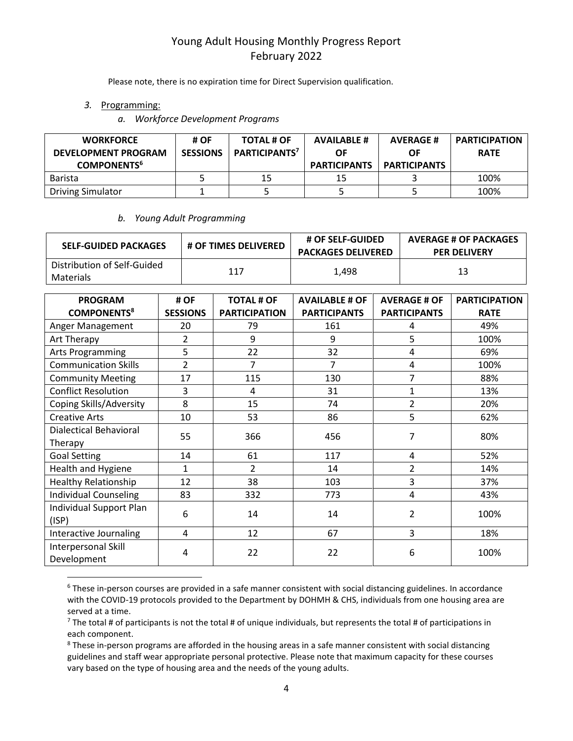Please note, there is no expiration time for Direct Supervision qualification.

- *3.* Programming:
	- *a. Workforce Development Programs*

| <b>WORKFORCE</b><br><b>DEVELOPMENT PROGRAM</b><br><b>COMPONENTS<sup>6</sup></b> | # OF<br><b>SESSIONS</b> | <b>TOTAL # OF</b><br>PARTICIPANTS <sup>7</sup> | <b>AVAILABLE #</b><br>ΟF<br><b>PARTICIPANTS</b> | <b>AVERAGE#</b><br>OF<br><b>PARTICIPANTS</b> | <b>PARTICIPATION</b><br><b>RATE</b> |
|---------------------------------------------------------------------------------|-------------------------|------------------------------------------------|-------------------------------------------------|----------------------------------------------|-------------------------------------|
| Barista                                                                         |                         | 15                                             | 15                                              |                                              | 100%                                |
| <b>Driving Simulator</b>                                                        |                         |                                                |                                                 |                                              | 100%                                |

#### *b. Young Adult Programming*

| <b>SELF-GUIDED PACKAGES</b>              | # OF TIMES DELIVERED | # OF SELF-GUIDED<br><b>PACKAGES DELIVERED</b> | <b>AVERAGE # OF PACKAGES</b><br><b>PER DELIVERY</b> |
|------------------------------------------|----------------------|-----------------------------------------------|-----------------------------------------------------|
| Distribution of Self-Guided<br>Materials | 117                  | 1.498                                         | 13                                                  |

| <b>PROGRAM</b>                   | # OF            | <b>TOTAL # OF</b>    | <b>AVAILABLE # OF</b> | <b>AVERAGE # OF</b> | <b>PARTICIPATION</b> |
|----------------------------------|-----------------|----------------------|-----------------------|---------------------|----------------------|
| <b>COMPONENTS</b> <sup>8</sup>   | <b>SESSIONS</b> | <b>PARTICIPATION</b> | <b>PARTICIPANTS</b>   | <b>PARTICIPANTS</b> | <b>RATE</b>          |
| Anger Management                 | 20              | 79                   | 161                   | 4                   | 49%                  |
| Art Therapy                      | 2               | 9                    | 9                     | 5                   | 100%                 |
| Arts Programming                 | 5               | 22                   | 32                    | 4                   | 69%                  |
| <b>Communication Skills</b>      | $\overline{2}$  | 7                    | 7                     | 4                   | 100%                 |
| <b>Community Meeting</b>         | 17              | 115                  | 130                   | 7                   | 88%                  |
| <b>Conflict Resolution</b>       | 3               | 4                    | 31                    | 1                   | 13%                  |
| Coping Skills/Adversity          | 8               | 15                   | 74                    | $\overline{2}$      | 20%                  |
| <b>Creative Arts</b>             | 10              | 53                   | 86                    | 5                   | 62%                  |
| <b>Dialectical Behavioral</b>    | 55              | 366                  | 456                   | 7                   | 80%                  |
| Therapy                          |                 |                      |                       |                     |                      |
| <b>Goal Setting</b>              | 14              | 61                   | 117                   | 4                   | 52%                  |
| Health and Hygiene               | $\mathbf{1}$    | $\overline{2}$       | 14                    | $\overline{2}$      | 14%                  |
| <b>Healthy Relationship</b>      | 12              | 38                   | 103                   | 3                   | 37%                  |
| <b>Individual Counseling</b>     | 83              | 332                  | 773                   | 4                   | 43%                  |
| Individual Support Plan<br>(ISP) | 6               | 14                   | 14                    | 2                   | 100%                 |
| Interactive Journaling           | 4               | 12                   | 67                    | 3                   | 18%                  |
| Interpersonal Skill              |                 |                      |                       |                     |                      |
| Development                      | 4               | 22                   | 22                    | 6                   | 100%                 |

<sup>6</sup> These in-person courses are provided in a safe manner consistent with social distancing guidelines. In accordance with the COVID-19 protocols provided to the Department by DOHMH & CHS, individuals from one housing area are served at a time.

 $^7$  The total # of participants is not the total # of unique individuals, but represents the total # of participations in each component.

<sup>8</sup> These in-person programs are afforded in the housing areas in a safe manner consistent with social distancing guidelines and staff wear appropriate personal protective. Please note that maximum capacity for these courses vary based on the type of housing area and the needs of the young adults.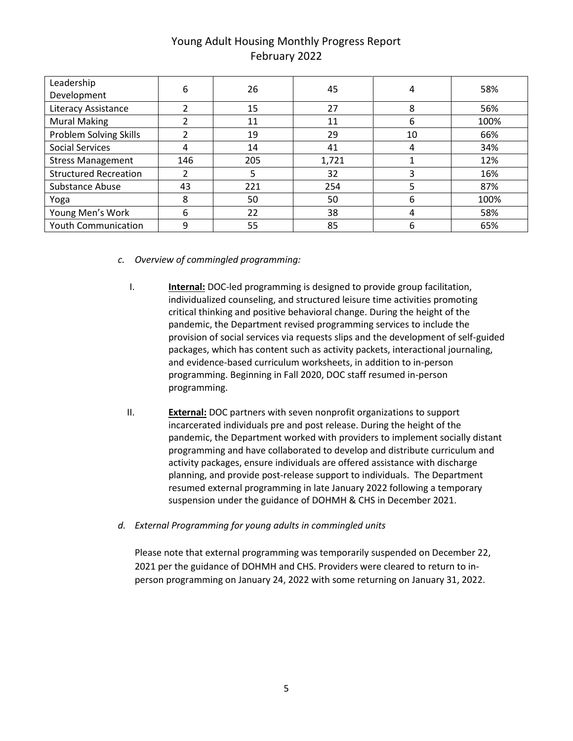| Leadership<br>Development     | 6   | 26  | 45    | 4  | 58%  |
|-------------------------------|-----|-----|-------|----|------|
| Literacy Assistance           |     | 15  | 27    | 8  | 56%  |
| <b>Mural Making</b>           |     | 11  | 11    | 6  | 100% |
| <b>Problem Solving Skills</b> |     | 19  | 29    | 10 | 66%  |
| <b>Social Services</b>        | 4   | 14  | 41    | 4  | 34%  |
| <b>Stress Management</b>      | 146 | 205 | 1,721 |    | 12%  |
| <b>Structured Recreation</b>  |     |     | 32    | 3  | 16%  |
| Substance Abuse               | 43  | 221 | 254   | 5  | 87%  |
| Yoga                          | 8   | 50  | 50    | 6  | 100% |
| Young Men's Work              | 6   | 22  | 38    | 4  | 58%  |
| <b>Youth Communication</b>    | 9   | 55  | 85    | 6  | 65%  |

- *c. Overview of commingled programming:*
	- I. **Internal:** DOC-led programming is designed to provide group facilitation, individualized counseling, and structured leisure time activities promoting critical thinking and positive behavioral change. During the height of the pandemic, the Department revised programming services to include the provision of social services via requests slips and the development of self-guided packages, which has content such as activity packets, interactional journaling, and evidence-based curriculum worksheets, in addition to in-person programming. Beginning in Fall 2020, DOC staff resumed in-person programming.
	- II. **External:** DOC partners with seven nonprofit organizations to support incarcerated individuals pre and post release. During the height of the pandemic, the Department worked with providers to implement socially distant programming and have collaborated to develop and distribute curriculum and activity packages, ensure individuals are offered assistance with discharge planning, and provide post-release support to individuals. The Department resumed external programming in late January 2022 following a temporary suspension under the guidance of DOHMH & CHS in December 2021.
- *d. External Programming for young adults in commingled units*

Please note that external programming was temporarily suspended on December 22, 2021 per the guidance of DOHMH and CHS. Providers were cleared to return to inperson programming on January 24, 2022 with some returning on January 31, 2022.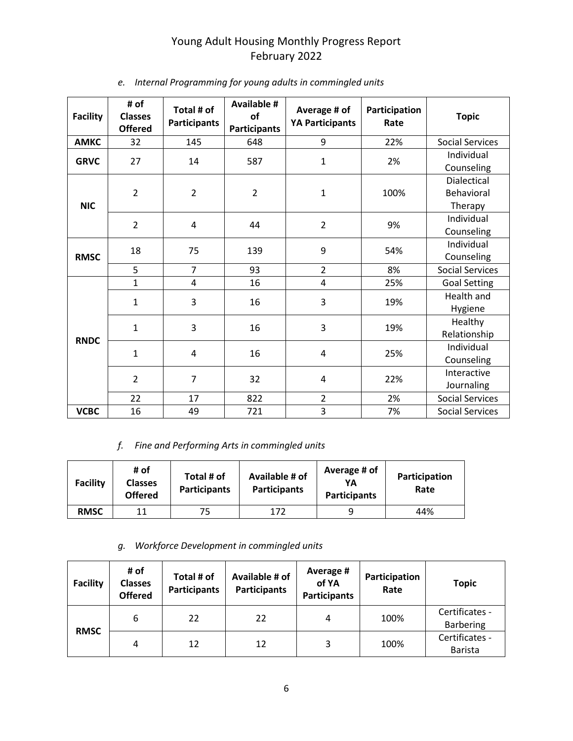| <b>Facility</b> | # of<br><b>Classes</b><br><b>Offered</b> | Total # of<br><b>Participants</b> | <b>Available #</b><br>of<br><b>Participants</b> | Average # of<br><b>YA Participants</b> | Participation<br>Rate | <b>Topic</b>                         |
|-----------------|------------------------------------------|-----------------------------------|-------------------------------------------------|----------------------------------------|-----------------------|--------------------------------------|
| <b>AMKC</b>     | 32                                       | 145                               | 648                                             | 9                                      | 22%                   | <b>Social Services</b>               |
| <b>GRVC</b>     | 27                                       | 14                                | 587                                             | 1                                      | 2%                    | Individual<br>Counseling             |
| <b>NIC</b>      | $\overline{2}$                           | $\overline{2}$                    | $\overline{2}$                                  | $\mathbf{1}$                           | 100%                  | Dialectical<br>Behavioral<br>Therapy |
|                 | $\overline{2}$                           | $\overline{4}$                    | 44                                              | $\overline{2}$                         | 9%                    | Individual<br>Counseling             |
| <b>RMSC</b>     | 18                                       | 75                                | 139                                             | 9                                      | 54%                   | Individual<br>Counseling             |
|                 | 5                                        | $\overline{7}$                    | 93                                              | $\overline{2}$                         | 8%                    | <b>Social Services</b>               |
|                 | $\mathbf{1}$                             | $\overline{4}$                    | 16                                              | 4                                      | 25%                   | <b>Goal Setting</b>                  |
|                 | $\mathbf{1}$                             | 3                                 | 16                                              | 3                                      | 19%                   | Health and<br>Hygiene                |
|                 | $\mathbf{1}$                             | 3                                 | 16                                              | 3                                      | 19%                   | Healthy<br>Relationship              |
| <b>RNDC</b>     | $\mathbf{1}$                             | $\overline{4}$                    | 16                                              | 4                                      | 25%                   | Individual<br>Counseling             |
|                 | $\overline{2}$                           | $\overline{7}$                    | 32                                              | 4                                      | 22%                   | Interactive<br>Journaling            |
|                 | 22                                       | 17                                | 822                                             | $\overline{2}$                         | 2%                    | <b>Social Services</b>               |
| <b>VCBC</b>     | 16                                       | 49                                | 721                                             | 3                                      | 7%                    | <b>Social Services</b>               |

### *e. Internal Programming for young adults in commingled units*

*f. Fine and Performing Arts in commingled units*

| <b>Facility</b> | # of<br><b>Classes</b><br><b>Offered</b> | Total # of<br><b>Participants</b> | Available # of<br><b>Participants</b> | Average # of<br>YΑ<br><b>Participants</b> | Participation<br>Rate |
|-----------------|------------------------------------------|-----------------------------------|---------------------------------------|-------------------------------------------|-----------------------|
| <b>RMSC</b>     | 11                                       | 75                                | 172                                   |                                           | 44%                   |

*g. Workforce Development in commingled units*

| <b>Facility</b> | # of<br><b>Classes</b><br><b>Offered</b> | Total # of<br><b>Participants</b> | Available # of<br><b>Participants</b> | Average #<br>of YA<br><b>Participants</b> | Participation<br>Rate | <b>Topic</b>                       |
|-----------------|------------------------------------------|-----------------------------------|---------------------------------------|-------------------------------------------|-----------------------|------------------------------------|
| <b>RMSC</b>     | 6                                        | 22                                | 22                                    | 4                                         | 100%                  | Certificates -<br><b>Barbering</b> |
|                 | 4                                        | 12                                | 12                                    | 3                                         | 100%                  | Certificates -<br><b>Barista</b>   |